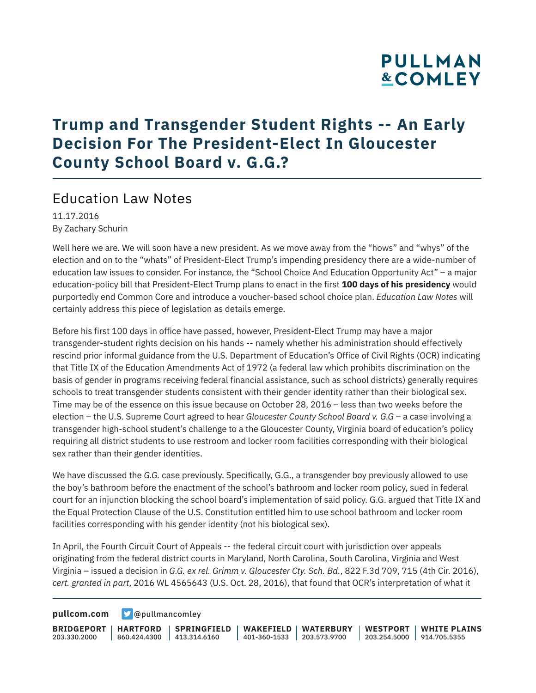# **PULLMAN &COMLEY**

### **Trump and Transgender Student Rights -- An Early Decision For The President-Elect In Gloucester County School Board v. G.G.?**

### Education Law Notes

11.17.2016 By Zachary Schurin

Well here we are. We will soon have a new president. As we move away from the "hows" and "whys" of the election and on to the "whats" of President-Elect Trump's impending presidency there are a wide-number of education law issues to consider. For instance, the "School Choice And Education Opportunity Act" – a major education-policy bill that President-Elect Trump plans to enact in the first **100 days of his presidency** would purportedly end Common Core and introduce a voucher-based school choice plan. *Education Law Notes* will certainly address this piece of legislation as details emerge.

Before his first 100 days in office have passed, however, President-Elect Trump may have a major transgender-student rights decision on his hands -- namely whether his administration should effectively rescind prior informal guidance from the U.S. Department of Education's Office of Civil Rights (OCR) indicating that Title IX of the Education Amendments Act of 1972 (a federal law which prohibits discrimination on the basis of gender in programs receiving federal financial assistance, such as school districts) generally requires schools to treat transgender students consistent with their gender identity rather than their biological sex. Time may be of the essence on this issue because on October 28, 2016 – less than two weeks before the election – the U.S. Supreme Court agreed to hear *Gloucester County School Board v. G.G* – a case involving a transgender high-school student's challenge to a the Gloucester County, Virginia board of education's policy requiring all district students to use restroom and locker room facilities corresponding with their biological sex rather than their gender identities.

We have discussed the *G.G.* case previously. Specifically, G.G., a transgender boy previously allowed to use the boy's bathroom before the enactment of the school's bathroom and locker room policy, sued in federal court for an injunction blocking the school board's implementation of said policy. G.G. argued that Title IX and the Equal Protection Clause of the U.S. Constitution entitled him to use school bathroom and locker room facilities corresponding with his gender identity (not his biological sex).

In April, the Fourth Circuit Court of Appeals -- the federal circuit court with jurisdiction over appeals originating from the federal district courts in Maryland, North Carolina, South Carolina, Virginia and West Virginia – issued a decision in *G.G. ex rel. Grimm v. Gloucester Cty. Sch. Bd.*, 822 F.3d 709, 715 (4th Cir. 2016), *cert. granted in part*, 2016 WL 4565643 (U.S. Oct. 28, 2016), that found that OCR's interpretation of what it

**[pullcom.com](https://www.pullcom.com) g** [@pullmancomley](https://twitter.com/PullmanComley)

**BRIDGEPORT HARTFORD** 203.330.2000 860.424.4300 413.314.6160 **SPRINGFIELD WAKEFIELD WATERBURY** 401-360-1533 203.573.9700 **WESTPORT WHITE PLAINS** 203.254.5000 914.705.5355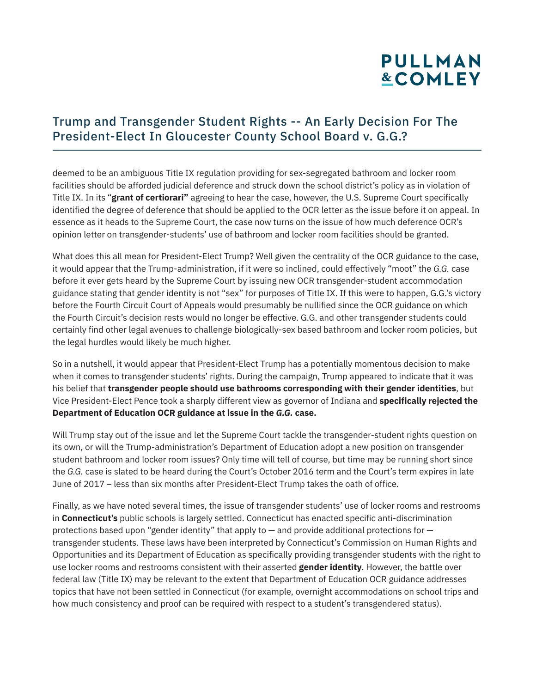# **PULLMAN &COMLEY**

#### Trump and Transgender Student Rights -- An Early Decision For The President-Elect In Gloucester County School Board v. G.G.?

deemed to be an ambiguous Title IX regulation providing for sex-segregated bathroom and locker room facilities should be afforded judicial deference and struck down the school district's policy as in violation of Title IX. In its "**grant of certiorari"** agreeing to hear the case, however, the U.S. Supreme Court specifically identified the degree of deference that should be applied to the OCR letter as the issue before it on appeal. In essence as it heads to the Supreme Court, the case now turns on the issue of how much deference OCR's opinion letter on transgender-students' use of bathroom and locker room facilities should be granted.

What does this all mean for President-Elect Trump? Well given the centrality of the OCR guidance to the case, it would appear that the Trump-administration, if it were so inclined, could effectively "moot" the *G.G.* case before it ever gets heard by the Supreme Court by issuing new OCR transgender-student accommodation guidance stating that gender identity is not "sex" for purposes of Title IX. If this were to happen, G.G.'s victory before the Fourth Circuit Court of Appeals would presumably be nullified since the OCR guidance on which the Fourth Circuit's decision rests would no longer be effective. G.G. and other transgender students could certainly find other legal avenues to challenge biologically-sex based bathroom and locker room policies, but the legal hurdles would likely be much higher.

So in a nutshell, it would appear that President-Elect Trump has a potentially momentous decision to make when it comes to transgender students' rights. During the campaign, Trump appeared to indicate that it was his belief that **transgender people should use bathrooms corresponding with their gender identities**, but Vice President-Elect Pence took a sharply different view as governor of Indiana and **specifically rejected the Department of Education OCR guidance at issue in the** *G.G.* **case.**

Will Trump stay out of the issue and let the Supreme Court tackle the transgender-student rights question on its own, or will the Trump-administration's Department of Education adopt a new position on transgender student bathroom and locker room issues? Only time will tell of course, but time may be running short since the *G.G.* case is slated to be heard during the Court's October 2016 term and the Court's term expires in late June of 2017 – less than six months after President-Elect Trump takes the oath of office.

Finally, as we have noted several times, the issue of transgender students' use of locker rooms and restrooms in **Connecticut's** public schools is largely settled. Connecticut has enacted specific anti-discrimination protections based upon "gender identity" that apply to — and provide additional protections for transgender students. These laws have been interpreted by Connecticut's Commission on Human Rights and Opportunities and its Department of Education as specifically providing transgender students with the right to use locker rooms and restrooms consistent with their asserted **gender identity**. However, the battle over federal law (Title IX) may be relevant to the extent that Department of Education OCR guidance addresses topics that have not been settled in Connecticut (for example, overnight accommodations on school trips and how much consistency and proof can be required with respect to a student's transgendered status).